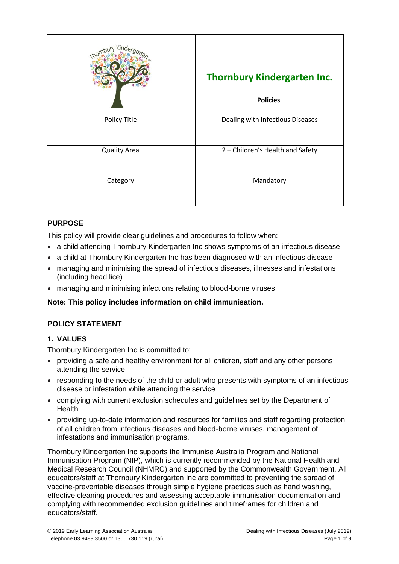|                     | <b>Thornbury Kindergarten Inc.</b><br><b>Policies</b> |
|---------------------|-------------------------------------------------------|
| Policy Title        | Dealing with Infectious Diseases                      |
| <b>Quality Area</b> | 2 - Children's Health and Safety                      |
| Category            | Mandatory                                             |

### **PURPOSE**

This policy will provide clear guidelines and procedures to follow when:

- a child attending Thornbury Kindergarten Inc shows symptoms of an infectious disease
- a child at Thornbury Kindergarten Inc has been diagnosed with an infectious disease
- managing and minimising the spread of infectious diseases, illnesses and infestations (including head lice)
- managing and minimising infections relating to blood-borne viruses.

#### **Note: This policy includes information on child immunisation.**

#### **POLICY STATEMENT**

#### **1. VALUES**

Thornbury Kindergarten Inc is committed to:

- providing a safe and healthy environment for all children, staff and any other persons attending the service
- responding to the needs of the child or adult who presents with symptoms of an infectious disease or infestation while attending the service
- complying with current exclusion schedules and guidelines set by the Department of Health
- providing up-to-date information and resources for families and staff regarding protection of all children from infectious diseases and blood-borne viruses, management of infestations and immunisation programs.

Thornbury Kindergarten Inc supports the Immunise Australia Program and National Immunisation Program (NIP), which is currently recommended by the National Health and Medical Research Council (NHMRC) and supported by the Commonwealth Government. All educators/staff at Thornbury Kindergarten Inc are committed to preventing the spread of vaccine-preventable diseases through simple hygiene practices such as hand washing, effective cleaning procedures and assessing acceptable immunisation documentation and complying with recommended exclusion guidelines and timeframes for children and educators/staff.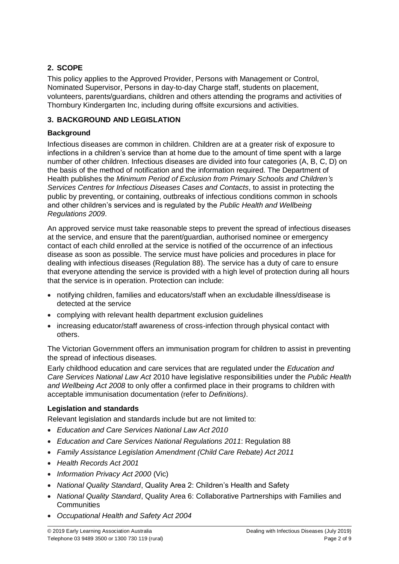## **2. SCOPE**

This policy applies to the Approved Provider, Persons with Management or Control, Nominated Supervisor, Persons in day-to-day Charge staff, students on placement, volunteers, parents/guardians, children and others attending the programs and activities of Thornbury Kindergarten Inc, including during offsite excursions and activities.

## **3. BACKGROUND AND LEGISLATION**

### **Background**

Infectious diseases are common in children. Children are at a greater risk of exposure to infections in a children's service than at home due to the amount of time spent with a large number of other children. Infectious diseases are divided into four categories (A, B, C, D) on the basis of the method of notification and the information required. The Department of Health publishes the *Minimum Period of Exclusion from Primary Schools and Children's Services Centres for Infectious Diseases Cases and Contacts*, to assist in protecting the public by preventing, or containing, outbreaks of infectious conditions common in schools and other children's services and is regulated by the *Public Health and Wellbeing Regulations 2009*.

An approved service must take reasonable steps to prevent the spread of infectious diseases at the service, and ensure that the parent/guardian, authorised nominee or emergency contact of each child enrolled at the service is notified of the occurrence of an infectious disease as soon as possible. The service must have policies and procedures in place for dealing with infectious diseases (Regulation 88). The service has a duty of care to ensure that everyone attending the service is provided with a high level of protection during all hours that the service is in operation. Protection can include:

- notifying children, families and educators/staff when an excludable illness/disease is detected at the service
- complying with relevant health department exclusion guidelines
- increasing educator/staff awareness of cross-infection through physical contact with others.

The Victorian Government offers an immunisation program for children to assist in preventing the spread of infectious diseases.

Early childhood education and care services that are regulated under the *Education and Care Services National Law Act* 2010 have legislative responsibilities under the *Public Health and Wellbeing Act 2008* to only offer a confirmed place in their programs to children with acceptable immunisation documentation (refer to *Definitions)*.

#### **Legislation and standards**

Relevant legislation and standards include but are not limited to:

- *Education and Care Services National Law Act 2010*
- *Education and Care Services National Regulations 2011*: Regulation 88
- *Family Assistance Legislation Amendment (Child Care Rebate) Act 2011*
- *Health Records Act 2001*
- *Information Privacy Act 2000* (Vic)
- *National Quality Standard*, Quality Area 2: Children's Health and Safety
- *National Quality Standard*, Quality Area 6: Collaborative Partnerships with Families and **Communities**
- *Occupational Health and Safety Act 2004*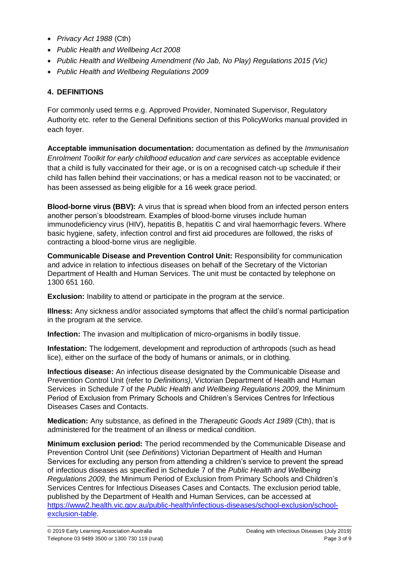- *Privacy Act 1988* (Cth)
- *Public Health and Wellbeing Act 2008*
- *Public Health and Wellbeing Amendment (No Jab, No Play) Regulations 2015 (Vic)*
- *Public Health and Wellbeing Regulations 2009*

## **4. DEFINITIONS**

For commonly used terms e.g. Approved Provider, Nominated Supervisor, Regulatory Authority etc. refer to the General Definitions section of this PolicyWorks manual provided in each foyer.

**Acceptable immunisation documentation:** documentation as defined by the *Immunisation Enrolment Toolkit for early childhood education and care services* as acceptable evidence that a child is fully vaccinated for their age, or is on a recognised catch-up schedule if their child has fallen behind their vaccinations; or has a medical reason not to be vaccinated; or has been assessed as being eligible for a 16 week grace period.

**Blood-borne virus (BBV):** A virus that is spread when blood from an infected person enters another person's bloodstream. Examples of blood-borne viruses include human immunodeficiency virus (HIV), hepatitis B, hepatitis C and viral haemorrhagic fevers. Where basic hygiene, safety, infection control and first aid procedures are followed, the risks of contracting a blood-borne virus are negligible.

**Communicable Disease and Prevention Control Unit:** Responsibility for communication and advice in relation to infectious diseases on behalf of the Secretary of the Victorian Department of Health and Human Services. The unit must be contacted by telephone on 1300 651 160.

**Exclusion:** Inability to attend or participate in the program at the service.

**Illness:** Any sickness and/or associated symptoms that affect the child's normal participation in the program at the service.

**Infection:** The invasion and multiplication of micro-organisms in bodily tissue.

**Infestation:** The lodgement, development and reproduction of arthropods (such as head lice), either on the surface of the body of humans or animals, or in clothing.

**Infectious disease:** An infectious disease designated by the Communicable Disease and Prevention Control Unit (refer to *Definitions)*, Victorian Department of Health and Human Services in Schedule 7 of the *Public Health and Wellbeing Regulations 2009,* the Minimum Period of Exclusion from Primary Schools and Children's Services Centres for Infectious Diseases Cases and Contacts.

**Medication:** Any substance, as defined in the *Therapeutic Goods Act 1989* (Cth), that is administered for the treatment of an illness or medical condition.

**Minimum exclusion period:** The period recommended by the Communicable Disease and Prevention Control Unit (see *Definitions*) Victorian Department of Health and Human Services for excluding any person from attending a children's service to prevent the spread of infectious diseases as specified in Schedule 7 of the *Public Health and Wellbeing Regulations 2009,* the Minimum Period of Exclusion from Primary Schools and Children's Services Centres for Infectious Diseases Cases and Contacts. The exclusion period table, published by the Department of Health and Human Services, can be accessed at https://www2.health.vic.gov.au/public-health/infectious-diseases/school-exclusion/schoolexclusion-table.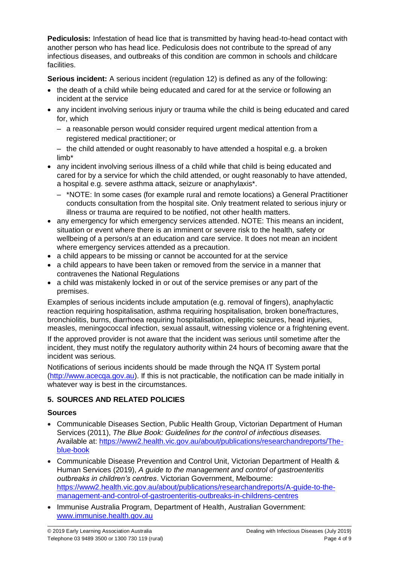**Pediculosis:** Infestation of head lice that is transmitted by having head-to-head contact with another person who has head lice. Pediculosis does not contribute to the spread of any infectious diseases, and outbreaks of this condition are common in schools and childcare facilities.

**Serious incident:** A serious incident (regulation 12) is defined as any of the following:

- the death of a child while being educated and cared for at the service or following an incident at the service
- any incident involving serious injury or trauma while the child is being educated and cared for, which
	- a reasonable person would consider required urgent medical attention from a registered medical practitioner; or

– the child attended or ought reasonably to have attended a hospital e.g. a broken limb\*

- any incident involving serious illness of a child while that child is being educated and cared for by a service for which the child attended, or ought reasonably to have attended, a hospital e.g. severe asthma attack, seizure or anaphylaxis\*.
	- \*NOTE: In some cases (for example rural and remote locations) a General Practitioner conducts consultation from the hospital site. Only treatment related to serious injury or illness or trauma are required to be notified, not other health matters.
- any emergency for which emergency services attended. NOTE: This means an incident, situation or event where there is an imminent or severe risk to the health, safety or wellbeing of a person/s at an education and care service. It does not mean an incident where emergency services attended as a precaution.
- a child appears to be missing or cannot be accounted for at the service
- a child appears to have been taken or removed from the service in a manner that contravenes the National Regulations
- a child was mistakenly locked in or out of the service premises or any part of the premises.

Examples of serious incidents include amputation (e.g. removal of fingers), anaphylactic reaction requiring hospitalisation, asthma requiring hospitalisation, broken bone/fractures, bronchiolitis, burns, diarrhoea requiring hospitalisation, epileptic seizures, head injuries, measles, meningococcal infection, sexual assault, witnessing violence or a frightening event. If the approved provider is not aware that the incident was serious until sometime after the incident, they must notify the regulatory authority within 24 hours of becoming aware that the

incident was serious.

Notifications of serious incidents should be made through the NQA IT System portal (http://www.acecqa.gov.au). If this is not practicable, the notification can be made initially in whatever way is best in the circumstances.

# **5. SOURCES AND RELATED POLICIES**

## **Sources**

- Communicable Diseases Section, Public Health Group, Victorian Department of Human Services (2011), *The Blue Book: Guidelines for the control of infectious diseases.* Available at: https://www2.health.vic.gov.au/about/publications/researchandreports/Theblue-book
- Communicable Disease Prevention and Control Unit, Victorian Department of Health & Human Services (2019), *A guide to the management and control of gastroenteritis outbreaks in children's centres*. Victorian Government, Melbourne: https://www2.health.vic.gov.au/about/publications/researchandreports/A-guide-to-themanagement-and-control-of-gastroenteritis-outbreaks-in-childrens-centres
- Immunise Australia Program, Department of Health, Australian Government: www.immunise.health.gov.au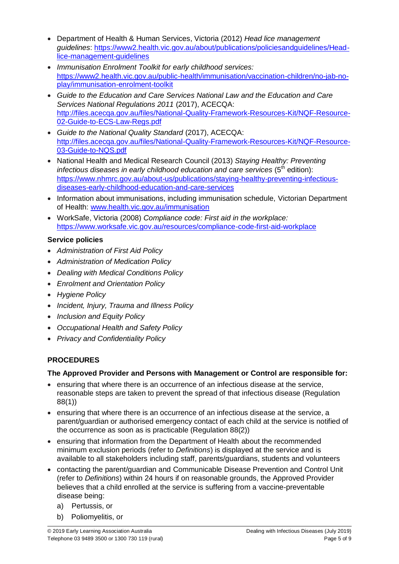- Department of Health & Human Services, Victoria (2012) *Head lice management guidelines*: https://www2.health.vic.gov.au/about/publications/policiesandguidelines/Headlice-management-guidelines
- *Immunisation Enrolment Toolkit for early childhood services:*  https://www2.health.vic.gov.au/public-health/immunisation/vaccination-children/no-jab-noplay/immunisation-enrolment-toolkit
- *Guide to the Education and Care Services National Law and the Education and Care Services National Regulations 2011* (2017), ACECQA: http://files.acecqa.gov.au/files/National-Quality-Framework-Resources-Kit/NQF-Resource-02-Guide-to-ECS-Law-Regs.pdf
- *Guide to the National Quality Standard* (2017), ACECQA: http://files.acecqa.gov.au/files/National-Quality-Framework-Resources-Kit/NQF-Resource-03-Guide-to-NQS.pdf
- National Health and Medical Research Council (2013) *Staying Healthy: Preventing infectious diseases in early childhood education and care services* (5<sup>th</sup> edition): https://www.nhmrc.gov.au/about-us/publications/staying-healthy-preventing-infectiousdiseases-early-childhood-education-and-care-services
- Information about immunisations, including immunisation schedule, Victorian Department of Health: www.health.vic.gov.au/immunisation
- WorkSafe, Victoria (2008) *Compliance code: First aid in the workplace:*  https://www.worksafe.vic.gov.au/resources/compliance-code-first-aid-workplace

## **Service policies**

- *Administration of First Aid Policy*
- *Administration of Medication Policy*
- *Dealing with Medical Conditions Policy*
- *Enrolment and Orientation Policy*
- *Hygiene Policy*
- *Incident, Injury, Trauma and Illness Policy*
- *Inclusion and Equity Policy*
- *Occupational Health and Safety Policy*
- *Privacy and Confidentiality Policy*

# **PROCEDURES**

# **The Approved Provider and Persons with Management or Control are responsible for:**

- ensuring that where there is an occurrence of an infectious disease at the service, reasonable steps are taken to prevent the spread of that infectious disease (Regulation 88(1))
- ensuring that where there is an occurrence of an infectious disease at the service, a parent/guardian or authorised emergency contact of each child at the service is notified of the occurrence as soon as is practicable (Regulation 88(2))
- ensuring that information from the Department of Health about the recommended minimum exclusion periods (refer to *Definitions*) is displayed at the service and is available to all stakeholders including staff, parents/guardians, students and volunteers
- contacting the parent/guardian and Communicable Disease Prevention and Control Unit (refer to *Definitions*) within 24 hours if on reasonable grounds, the Approved Provider believes that a child enrolled at the service is suffering from a vaccine-preventable disease being:
	- a) Pertussis, or
	- b) Poliomyelitis, or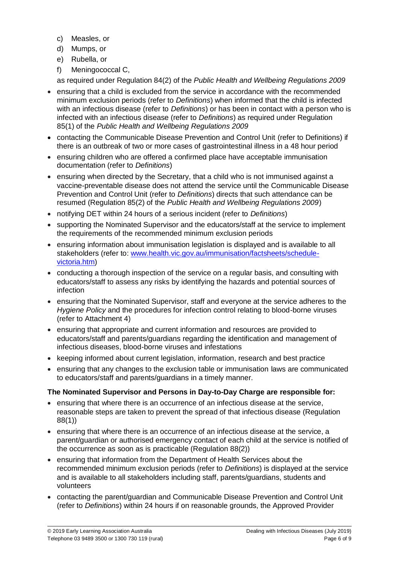- c) Measles, or
- d) Mumps, or
- e) Rubella, or
- f) Meningococcal C,

as required under Regulation 84(2) of the *Public Health and Wellbeing Regulations 2009*

- ensuring that a child is excluded from the service in accordance with the recommended minimum exclusion periods (refer to *Definitions*) when informed that the child is infected with an infectious disease (refer to *Definitions*) or has been in contact with a person who is infected with an infectious disease (refer to *Definitions*) as required under Regulation 85(1) of the *Public Health and Wellbeing Regulations 2009*
- contacting the Communicable Disease Prevention and Control Unit (refer to Definitions) if there is an outbreak of two or more cases of gastrointestinal illness in a 48 hour period
- ensuring children who are offered a confirmed place have acceptable immunisation documentation (refer to *Definitions*)
- ensuring when directed by the Secretary, that a child who is not immunised against a vaccine-preventable disease does not attend the service until the Communicable Disease Prevention and Control Unit (refer to *Definitions*) directs that such attendance can be resumed (Regulation 85(2) of the *Public Health and Wellbeing Regulations 2009*)
- notifying DET within 24 hours of a serious incident (refer to *Definitions*)
- supporting the Nominated Supervisor and the educators/staff at the service to implement the requirements of the recommended minimum exclusion periods
- ensuring information about immunisation legislation is displayed and is available to all stakeholders (refer to: www.health.vic.gov.au/immunisation/factsheets/schedulevictoria.htm)
- conducting a thorough inspection of the service on a regular basis, and consulting with educators/staff to assess any risks by identifying the hazards and potential sources of infection
- ensuring that the Nominated Supervisor, staff and everyone at the service adheres to the *Hygiene Policy* and the procedures for infection control relating to blood-borne viruses (refer to Attachment 4)
- ensuring that appropriate and current information and resources are provided to educators/staff and parents/guardians regarding the identification and management of infectious diseases, blood-borne viruses and infestations
- keeping informed about current legislation, information, research and best practice
- ensuring that any changes to the exclusion table or immunisation laws are communicated to educators/staff and parents/guardians in a timely manner.

#### **The Nominated Supervisor and Persons in Day-to-Day Charge are responsible for:**

- ensuring that where there is an occurrence of an infectious disease at the service, reasonable steps are taken to prevent the spread of that infectious disease (Regulation 88(1))
- ensuring that where there is an occurrence of an infectious disease at the service, a parent/guardian or authorised emergency contact of each child at the service is notified of the occurrence as soon as is practicable (Regulation 88(2))
- ensuring that information from the Department of Health Services about the recommended minimum exclusion periods (refer to *Definitions*) is displayed at the service and is available to all stakeholders including staff, parents/guardians, students and volunteers
- contacting the parent/guardian and Communicable Disease Prevention and Control Unit (refer to *Definitions*) within 24 hours if on reasonable grounds, the Approved Provider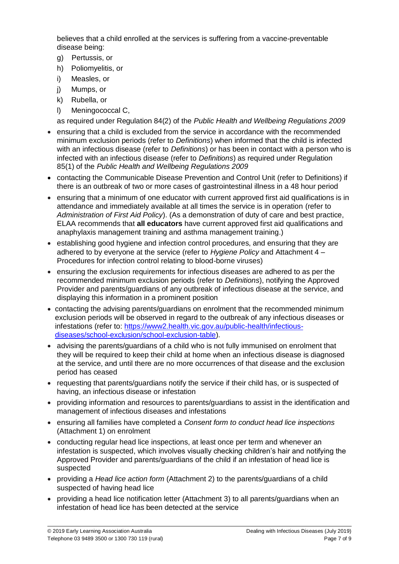believes that a child enrolled at the services is suffering from a vaccine-preventable disease being:

- g) Pertussis, or
- h) Poliomyelitis, or
- i) Measles, or
- j) Mumps, or
- k) Rubella, or
- l) Meningococcal C,

as required under Regulation 84(2) of the *Public Health and Wellbeing Regulations 2009* 

- ensuring that a child is excluded from the service in accordance with the recommended minimum exclusion periods (refer to *Definitions*) when informed that the child is infected with an infectious disease (refer to *Definitions*) or has been in contact with a person who is infected with an infectious disease (refer to *Definitions*) as required under Regulation 85(1) of the *Public Health and Wellbeing Regulations 2009*
- contacting the Communicable Disease Prevention and Control Unit (refer to Definitions) if there is an outbreak of two or more cases of gastrointestinal illness in a 48 hour period
- ensuring that a minimum of one educator with current approved first aid qualifications is in attendance and immediately available at all times the service is in operation (refer to *Administration of First Aid Policy*). (As a demonstration of duty of care and best practice, ELAA recommends that **all educators** have current approved first aid qualifications and anaphylaxis management training and asthma management training.)
- establishing good hygiene and infection control procedures, and ensuring that they are adhered to by everyone at the service (refer to *Hygiene Policy* and Attachment 4 – Procedures for infection control relating to blood-borne viruses)
- ensuring the exclusion requirements for infectious diseases are adhered to as per the recommended minimum exclusion periods (refer to *Definitions*), notifying the Approved Provider and parents/guardians of any outbreak of infectious disease at the service, and displaying this information in a prominent position
- contacting the advising parents/guardians on enrolment that the recommended minimum exclusion periods will be observed in regard to the outbreak of any infectious diseases or infestations (refer to: https://www2.health.vic.gov.au/public-health/infectiousdiseases/school-exclusion/school-exclusion-table).
- advising the parents/guardians of a child who is not fully immunised on enrolment that they will be required to keep their child at home when an infectious disease is diagnosed at the service, and until there are no more occurrences of that disease and the exclusion period has ceased
- requesting that parents/guardians notify the service if their child has, or is suspected of having, an infectious disease or infestation
- providing information and resources to parents/guardians to assist in the identification and management of infectious diseases and infestations
- ensuring all families have completed a *Consent form to conduct head lice inspections* (Attachment 1) on enrolment
- conducting regular head lice inspections, at least once per term and whenever an infestation is suspected, which involves visually checking children's hair and notifying the Approved Provider and parents/guardians of the child if an infestation of head lice is suspected
- providing a *Head lice action form* (Attachment 2) to the parents/guardians of a child suspected of having head lice
- providing a head lice notification letter (Attachment 3) to all parents/guardians when an infestation of head lice has been detected at the service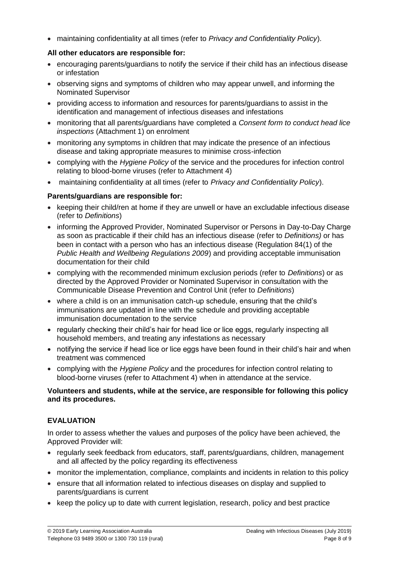maintaining confidentiality at all times (refer to *Privacy and Confidentiality Policy*).

### **All other educators are responsible for:**

- encouraging parents/guardians to notify the service if their child has an infectious disease or infestation
- observing signs and symptoms of children who may appear unwell, and informing the Nominated Supervisor
- providing access to information and resources for parents/guardians to assist in the identification and management of infectious diseases and infestations
- monitoring that all parents/guardians have completed a *Consent form to conduct head lice inspections* (Attachment 1) on enrolment
- monitoring any symptoms in children that may indicate the presence of an infectious disease and taking appropriate measures to minimise cross-infection
- complying with the *Hygiene Policy* of the service and the procedures for infection control relating to blood-borne viruses (refer to Attachment 4)
- maintaining confidentiality at all times (refer to *Privacy and Confidentiality Policy*).

## **Parents/guardians are responsible for:**

- keeping their child/ren at home if they are unwell or have an excludable infectious disease (refer to *Definitions*)
- informing the Approved Provider, Nominated Supervisor or Persons in Day-to-Day Charge as soon as practicable if their child has an infectious disease (refer to *Definitions)* or has been in contact with a person who has an infectious disease (Regulation 84(1) of the *Public Health and Wellbeing Regulations 2009*) and providing acceptable immunisation documentation for their child
- complying with the recommended minimum exclusion periods (refer to *Definitions*) or as directed by the Approved Provider or Nominated Supervisor in consultation with the Communicable Disease Prevention and Control Unit (refer to *Definitions*)
- where a child is on an immunisation catch-up schedule, ensuring that the child's immunisations are updated in line with the schedule and providing acceptable immunisation documentation to the service
- regularly checking their child's hair for head lice or lice eggs, regularly inspecting all household members, and treating any infestations as necessary
- notifying the service if head lice or lice eggs have been found in their child's hair and when treatment was commenced
- complying with the *Hygiene Policy* and the procedures for infection control relating to blood-borne viruses (refer to Attachment 4) when in attendance at the service.

#### **Volunteers and students, while at the service, are responsible for following this policy and its procedures.**

## **EVALUATION**

In order to assess whether the values and purposes of the policy have been achieved, the Approved Provider will:

- regularly seek feedback from educators, staff, parents/guardians, children, management and all affected by the policy regarding its effectiveness
- monitor the implementation, compliance, complaints and incidents in relation to this policy
- ensure that all information related to infectious diseases on display and supplied to parents/guardians is current
- keep the policy up to date with current legislation, research, policy and best practice